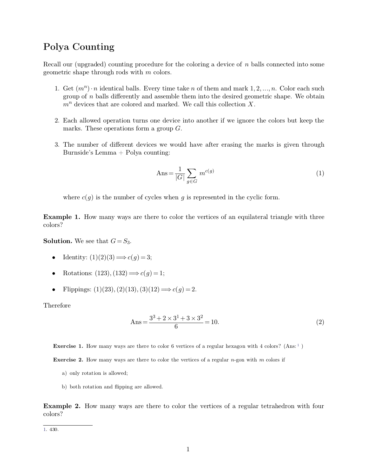**Polya Counting**<br>Recall our (upgraded) counting proced Polya Counting<br>Recall our (upgraded) counting procedure for the coloring a device of *n* balls connected into some<br>geometric shape through rods with *m* colors. **Polya Counting**<br>Recall our (upgraded) counting procedure for the coloring a device of  $n$  balls connected into some<br>geometric shape through rods with  $m$  colors.

- 1. Get  $(m^n) \cdot n$  iden %) counting procedure for the coloring a device of *n* balls connected into some e through rods with *m* colors.<br>  $\cdot$ *n* identical balls. Every time take *n* of them and mark 1, 2, ..., *n*. Color each such *n* balls dif our (upgraded) counting procedure for the coloring a device of *n* balls connected into some<br>ric shape through rods with *m* colors.<br>Get  $(m^n) \cdot n$  identical balls. Every time take *n* of them and mark 1, 2, ..., *n*. Color *mare* and our (upgraded) counting procedure for the coloring a device of *n* balls connected into some metric shape through rods with *m* colors.<br>
1. Get  $(m^n) \cdot n$  identical balls. Every time take *n* of them and mark 1, 1. Get  $(m^{\alpha}) \cdot n$  identical balls. Every time take *n* of them and mark 1, 2, ..., *n*. Color each such group of *n* balls differently and assemble them into the desired geometric shape. We obtain  $m^n$  devices that are co
- 2. Each allowed operation turns one device into another if we ignore the colors but keep the marks. These operations form a group  $G$ .<br>3. The number of different devices we would have after erasing the marks is given thro
- 

$$
Ans = \frac{1}{|G|} \sum_{g \in G} m^{c(g)} \tag{1}
$$

where  $c(g)$  is the number of cycles when  $g$  is represented in the cyclic form.

**Example 1.** How many ways are there to color the vertices of an equilateral triangle with three colors? colors? **Example 1.** How many ways are there to color the vertices of an equilateral triangle with three colors?<br> **Solution.** We see that  $G = S_3$ .<br>
• Identity:  $(1)(2)(3) \implies c(g) = 3$ ; **ISOLUTE:** The set that  $G = S_3$ .<br> **Colors:** (1)(2)(3)  $\Rightarrow$  *c*(*g*) = 3;<br> **Colors:** (123), (132)  $\Rightarrow$  *c*(*g*) = 1;<br> **Colors:** (1)(23), (2)(13), (3)(12)  $\Rightarrow$  *c*(*g*) = 2.<br>
Therefore

- 
- 
- Flippings:  $(1)(23), (2)(13), (3)(12) \implies c(g) = 2.$

<span id="page-0-0"></span>
$$
(3)(12) \Longrightarrow c(g) = 2.
$$
  
Ans = 
$$
\frac{3^3 + 2 \times 3^1 + 3 \times 3^2}{6} = 10.
$$
 (2)

**Exercise 1.** How many ways are there to color 6 vertices of a regular hexagon with 4 colors? (Ans: <sup>1</sup>) **Exercise 1.** How many ways are there to color 6 vertices of a regular hexagon with 4 colors? (Ans:<sup>1</sup>) **Exercise 2.** How many ways are there to color the vertices of a regular *n*-gon with *m* colors if a) only rotation i

**Exercise 2.** How many ways are there to color the vertices of a regular *n*-gon with *m* colors if<br>a) only rotation is allowed;<br>b) both rotation and flipping are allowed.

- 
- 

**Example 2.** How many ways are there to color the vertices of a regular tetrahedron with four colors?

[1.](#page-0-0) 430.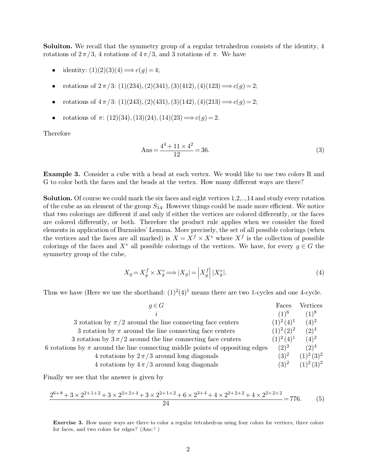**Soluiton.** We recall that the symmetry group of a regular tetrahedron consists of the identity, 4 rotations of  $2\pi/3$ , 4 rotations of  $4\pi/3$ , and 3 rotations of  $\pi$ . We have **Soluiton.** We recall that the symmetry group of a regular tetrahedron consistorations of  $2\pi/3$ , 4 rotations of  $4\pi/3$ , and 3 rotations of  $\pi$ . We have **Soluiton.** We recall that the symmetry group of a regular tetrahedron consists of the rotations of  $2\pi/3$ , 4 rotations of  $4\pi/3$ , and 3 rotations of  $\pi$ . We have<br>
• identity: (1)(2)(3)(4)  $\Rightarrow c(g) = 4$ ;<br>
• rotations of

- 
- 
- 
- 

Ans = 
$$
\frac{4^4 + 11 \times 4^2}{12} = 36.
$$
 (3)

**Example 3.** Consider a cube with a bead at each vertex. We would like to use two colors R and G to color both the faces and the beads at the vertex. How many different ways are there?  $\text{Ans} = \frac{4^4 + 11 \times 4^2}{12} = 36.$  (3)<br>Example 3. Consider a cube with a bead at each vertex. We would like to use two colors R and G to color both the faces and the beads at the vertex. How many different ways are there?

**Example 3.** Consider a cube with a bead at each vertex. We would like to use two colors R and G to color both the faces and the beads at the vertex. How many different ways are there?<br>**Solution.** Of course we could mark **Example 3.** Consider a cube with a bead at each vertex. We would like to use two colors R and G to color both the faces and the beads at the vertex. How many different ways are there?<br>**Solution.** Of course we could mark **Example 3.** Consider a cube with a bead at each vertex. We would like to use two colors R and G to color both the faces and the beads at the vertex. How many different ways are there?<br> **Solution.** Of course we could mark G to color both the faces and the beads at the vertex. How many different ways are there?<br> **Solution.** Of course we could mark the six faces and eight vertices 1,2,..,14 and study every rotation<br>
of the cube as an element **Solution.** Of course we could mark the six faces and eight vertices 1,2,..,14 and study every rotation of the cube as an element of the group  $S_{14}$ . However things could be made more efficient. We notice that two color **Solution.** Of course we could mark the six faces and eight vertices of the cube as an element of the group  $S_{14}$ . However things coul that two colorings are different if and only if either the vertices are colored diff  $X^v$  where  $X^f$  is the 14 and study every rotation<br>de more efficient. We notice<br>pred differently, or the faces<br>when we consider the fixed<br>all possible colorings (when<br>is the collection of possible<br>e have, for every  $g \in G$  the of the cube as an element of the group  $S_{14}$ . However things could be made more efficient. We notice<br>that two colorings are different if and only if either the vertices are colored differently, or the faces<br>are colored that two colorings are different if<br>are colored differently, or both.<br>elements in application of Burnsid<br>the vertices and the faces are all<br>colorings of the faces and  $X^v$  all<br>symmetry group of the cube,

symmetry group of the cube,  
\n
$$
X_g = X_g^f \times X_g^v \Longrightarrow |X_g| = \left| X_g^f \right| |X_g^v|.
$$
\n(4)  
\nThus we have (Here we use the shorthand:  $(1)^2(4)^1$  means there are two 1-cycles and one 4-cycle.  
\n $g \in G$ 

| Thus we have (Here we use the shorthand: $(1)^2(4)^1$ means there are two 1-cycles and one 4-cycle. |                       |                       |
|-----------------------------------------------------------------------------------------------------|-----------------------|-----------------------|
| $g \in G$                                                                                           | Faces                 | Vertices              |
| $\boldsymbol{\eta}$                                                                                 | $(1)^6$               | $(1)^8$               |
| 3 rotation by $\pi/2$ around the line connecting face centers                                       | $(1)^2 (4)^1$ $(4)^2$ |                       |
| 3 rotation by $\pi$ around the line connecting face centers                                         | $(1)^2 (2)^2$ $(2)^4$ |                       |
| 3 rotation by $3\pi/2$ around the line connecting face centers                                      | $(1)^2(4)^1$          | $(4)^2$               |
| 6 rotations by $\pi$ around the line connecting middle points of oppositing edges                   |                       | $(2)^3$ $(2)^4$       |
| 4 rotations by $2\pi/3$ around long diagonals                                                       |                       | $(3)^2$ $(1)^2(3)^2$  |
| 4 rotations by $4\pi/3$ around long diagonals                                                       |                       | $(3)^2$ $(1)^2 (3)^2$ |

4 rotations by 
$$
2\pi/3
$$
 around long diagonals  
\n4 rotations by  $4\pi/3$  around long diagonals  
\n9. (3) (1) (3)  
\n(5) (1) (3)  
\n(6) (1) (3)  
\n(7) (3)  
\n(8) (1) (3)  
\n(9) (1) (3)  
\n(1) (3)  
\n(1) (3)  
\n(2) (4)  
\n(3) (5)  
\n(4) (3) (5)  
\n(5) (6)  
\n24  
\n25+8+3 × 2<sup>2+1+2</sup> + 3 × 2<sup>2+2+4</sup> + 3 × 2<sup>2+1+2</sup> + 6 × 2<sup>3+4</sup> + 4 × 2<sup>2+2+2</sup> + 4 × 2<sup>2+2+2</sup> = 776. (5)  
\n24  
\nExercise 3. How many ways are there to color a regular tetrahedron using four colors for vertices, three colors for faces, and two colors for edges? (Ans:<sup>2</sup>)

<span id="page-1-0"></span>For  $\lambda$  2 and  $\lambda$  2 and  $\lambda$  2 and  $\lambda$  2 2 and  $\lambda$  2 3 2 3 4 Exercise 3. How many ways are there to color a for faces, and two colors for edges? (Ans: <sup>2</sup>)